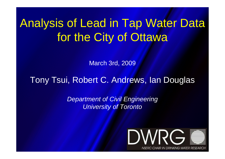# Analysis of Lead in Tap Water Datafor the City of Ottawa

March 3rd, 2009

#### Tony Tsui, Robert C. Andrews, Ian Douglas

Department of Civil Engineering University of Toronto

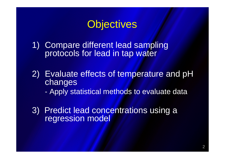## **Objectives**

- 1) Compare different lead sampling protocols for lead in tap water
- 2) Evaluate effects of temperature and pH changes
	- Apply statistical methods to evaluate data
- 3) Predict lead concentrations using a regression model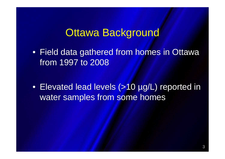#### **Ottawa Background**

• Field data gathered from homes in Ottawa from 1997 to 2008

• Elevated lead levels (>10 µg/L) reported in water samples from some homes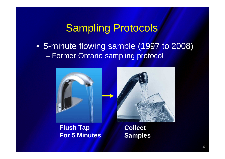## Sampling Protocols

• 5-minute flowing sample (1997 to 2008) $\mathcal{L}_{\mathcal{A}}$ Former Ontario sampling protocol





#### **Flush TapFor 5 Minutes**

**Collect Samples**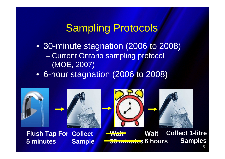## Sampling Protocols

- 30-minute stagnation (2006 to 2008) $\mathcal{L}_{\mathcal{A}}$  Current Ontario sampling protocol (MOE, 2007)
- 6-hour stagnation (2006 to 2008)









**Flush Tap ForCollect5 minutesSample**

**Collect 1-litre SamplesWait 30 minutes6 hoursWait**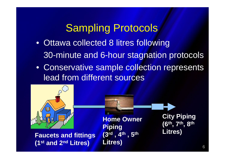## Sampling Protocols

- Ottawa collected 8 litres following 30-minute and 6-hour stagnation protocols
- Conservative sample collection represents lead from different sources

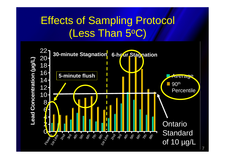## Effects of Sampling Protocol (Less Than 5oC)

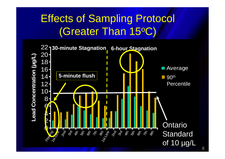## Effects of Sampling Protocol (Greater Than 15oC)

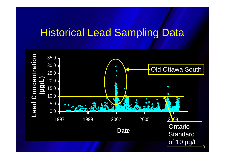#### Historical Lead Sampling Data

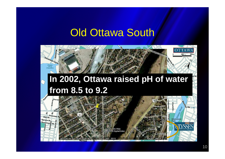#### **Old Ottawa South**



## **In 2002, Ottawa raised pH of water from 8.5 to 9.2**

 $\overline{C}$ 

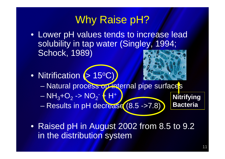## Why Raise pH?

- Lower pH values tends to increase lead solubility in tap water (Singley, 1994; Schock, 1989)
- Nitrification (> 15ºC)



- **STATE OF STREET**  $\mathcal{L}_{\mathcal{A}}$  , where  $\mathcal{L}_{\mathcal{A}}$  is the set of the set of the set of the set of the set of the set of the set of the set of the set of the set of the set of the set of the set of the set of the set of the set of the Natural process on internal pipe surfaces
- $\mathcal{L}_{\mathcal{A}}$  $NH_3+O_2$  $_2$  -> NO  $_2^-$  + H+

ESTATUS III KANAD KORA KUULUU KUULUU KUULUU K  $\mathcal{L}_{\mathcal{A}}$ Results in pH decrease (8.5 ->7.8) **Nitrifying Bacteria**

• Raised pH in August 2002 from 8.5 to 9.2 in the distribution system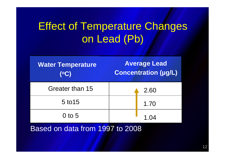## Effect of Temperature Changes on Lead (Pb)

| <b>Water Temperature</b><br>(CC) | <b>Average Lead</b><br><b>Concentration (µg/L)</b> |      |
|----------------------------------|----------------------------------------------------|------|
| Greater than 15                  |                                                    | 2.60 |
| 5 to 15                          |                                                    | 1.70 |
| $0$ to 5                         |                                                    |      |

Based on data from 1997 to 2008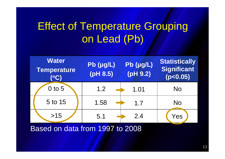## Effect of Temperature Grouping on Lead (Pb)



Based on data from 1997 to 2008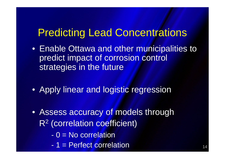## Predicting Lead Concentrations

- Enable Ottawa and other municipalities to predict impact of corrosion control strategies in the future
- Apply linear and logistic regression
- Assess accuracy of models through R<sup>2</sup> (correlation coefficient)
	- -0 = No correlation
	- 1 = Perfect correlation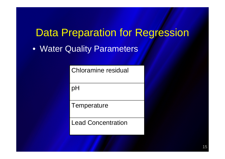## **Data Preparation for Regression**

• Water Quality Parameters

Chloramine residual

pH

**Temperature** 

Lead Concentration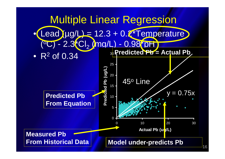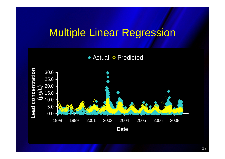## Multiple Linear Regression



17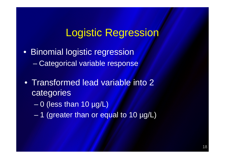### Logistic Regression

- • Binomial logistic regression–Categorical variable response
- Transformed lead variable into 2 categories
	- $\mathcal{L}_{\mathcal{A}}$  , where  $\mathcal{L}_{\mathcal{A}}$  is the set of the set of the set of the set of the set of the set of the set of the set of the set of the set of the set of the set of the set of the set of the set of the set of the 0 (less than 10 µg/L)
	- 1 (greater than or equal to 10 µg/L)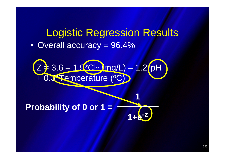## Logistic Regression Results• Overall accuracy = 96.4%

**1**

**1+e-z**



**Probability of 0 or 1 =**

19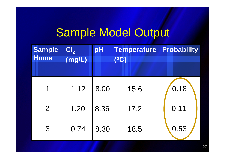## Sample Model Output

| <b>Sample</b><br>Home | CI <sub>2</sub><br>(mg/L) | pH   | <b>Temperature</b><br>$\mathbf{C}$ | <b>Probability</b> |
|-----------------------|---------------------------|------|------------------------------------|--------------------|
| 1                     | 1.12                      | 8.00 | 15.6                               | 0.18               |
| $\overline{2}$        | 1.20                      | 8.36 | 17.2                               | 0.11               |
| 3                     | 0.74                      | 8.30 | 18.5                               | 0.53               |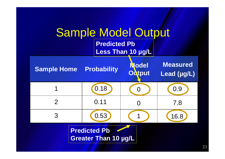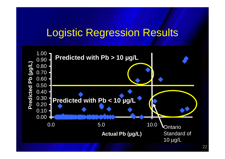## Logistic Regression Results

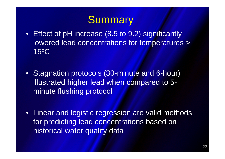## Summary

- Effect of pH increase (8.5 to 9.2) significantly lowered lead concentrations for temperatures > 15oC
- Stagnation protocols (30-minute and 6-hour) illustrated higher lead when compared to 5minute flushing protocol
- Linear and logistic regression are valid methods for predicting lead concentrations based on historical water quality data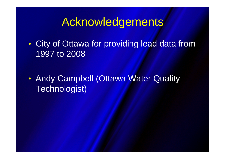## Acknowledgements

 $\bullet$  City of Ottawa for providing lead data from 1997 to 2008

 $\bullet$  Andy Campbell (Ottawa Water Quality Technologist)